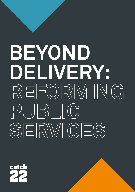## **BEYOND DELIVERY: REFORMING PUBLIC SERVICES**

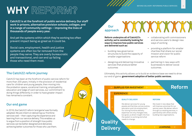## **WHY REFORM?**

**Catch22 is at the forefront of public service delivery. Our staff work in prisons, alternative provision schools, colleges, and in a range of community settings – improving the lives of thousands of people every year.** 

And yet the systems within which they're working too often prevent impact being as great as it could be.

Social care, employment, health and justice systems are often too far removed from the people they serve. They are overly bureaucratic and transactional, and can end up failing those who need them most.

#### **The Catch22 reform journey**

Catch22 has been at the forefront of public service reform for more than 200 years. Initially in the provision of residential care for children and young people, then moving into the probation space, vocational training, employability, education and 'edge of care' services, our commitment to doing things differently in order to have greater impact has remained a constant.

#### **Our end game**

In 2016, the Catch22 reform 'end game' was formally adopted. We are intent on delivering our frontline services well – then capturing the experience and learning from our service delivery. This enables us to argue from a position of strength how public services can be better designed and delivered, achieving better outcomes for those who use them.

#### **Our approach**

**Delivery**

**Reform underpins all of Catch22's activity; we're constantly looking for ways to improve how public services are delivered such as:**

- building new governance structures to build the capacity of smaller organisations
- designing and delivering innovative services that produce better outcomes
- collaborating with commissioners and service users to design new ways of working
- providing a platform for smaller charities that share our social mission and vision for public service reform
- partnering in new ways with businesses to deliver social outcomes.

Ultimately, this activity allows us to build an evidence base we need to drive our end of game: **government adoption of better public services.**

#### SURPLUS FOR INVESTMENT **Quality**  EXPERIENCE > **QUALITY DELIVERY** We deliver services for young people and families, across justice, education and into employment. Our strong frontline delivery expertise not only changes lives but gives us direct insight into how the system is working and what needs to change. **REFORM** We invest in new ideas that will improve outcomes for our service users. We deliver reform through our existing services, in partnership with others and by building new organisations. **Reform**

**LEARNING**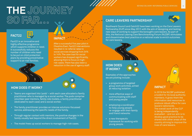### **THE JOURNEY SO FAR…**



Fact22 is an innovative and highly effective programme which supports children in need. It successfully reduces the number of children who need to be put on child protection plans by providing preventative support to at-risk families.



After a successful five year pilot in Cheshire East, Fact22 interventions resulted in re-referral rates to social services dropping from 24% to 14%. The case load for social workers has dropped significantly, allowing them to focus on highrisk cases. There has also been a reduction in the use of agency staff.

#### **HOW DOES IT WORK?**

- Teams are organised into 'pods' with each case allocated a family practitioner who is managed by a social worker. The pods comprise volunteer peer mentors, family role models, a family practitioner (dedicated to each case) and a social worker.
- The family practitioner provides an intense solutions-focussed service, addressing the specific needs of the family.
- Through regular contact with mentors, the positive changes in the family usually last beyond the direct involvement of Fact22.
- The model frees up social workers to manage high-risk cases.

#### **CARE LEAVERS PARTNERSHIP**



Southwark Council and Catch22 have been working on the Care Leavers Partnership (CLP) since May 2017, with the aim of designing and testing new ways of working to support the borough's care leavers. As part of this, the National Leaving Care Benchmarking Forum (NLCBF) stimulates and disseminates best practice on a national scale to enrich outcomes for care leavers.

#### **HOW DOES IT WORK?**

Examples of the approaches we are piloting include:

- a programme of targeted group work activities, aimed at reducing isolation
- more effective ways of communicating with staff and young people
- employing a coordinator to help young people re-engage with their family and friend networks
- a new therapeutic framework for working with young people.

# **IMPACT**

In 2019 the NLCBF published a toolkit for its local authority members. It gives them the information and resources to produce robust offers for care leavers nationwide. The overall work of the CLP is being independently evaluated – and our aim is to develop good practice to be shared with other areas of the country striving to improve the lives of care leavers.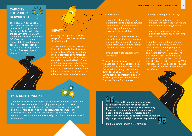#### **CAPACITY: THE PUBLIC SERVICES LAB**

The Public Services Lab is a joint venture between Catch22, Interserve PLC, Big Society Capital and Amberside, to build the capacity of the voluntary, community and social enterprise (VCSE) sector to compete successfully for public sector contracts. The concept was the winner of the Big Society Capital's Business Impact Challenge in 2015.



## $\circledast$ **IMPACT**

Capacity has supported a whole range of public services to deliver things differently.

As an example, a dearth of General Practitioners and other clinicians in mid and north Wales led to three medical practices being forced to resign their contracts back to Betsi Cadwaladr University Health Board in 2017. To sustainably address this workforce crisis, The Community Care Collaborative (CCC) community interest company, has developed an alternative model of primary care.

#### **The aim was to:**

- carry out profound, long-term transformation to existing services and operating procedures whilst delivering quality primary care services in the short-term
- empower and educate employees and patients so that they champion and adopt the new model, changing attitudes towards traditional primary care models as best practice
- embed technical solutions into the model.

This goal has been achieved through the acquisition of a General Medical Services (GMS) contract with the Betsi Cadwaladr University Health Board (BCUHB), who have commissioned CCC to provide an integrated, personcentred approach to primary care in Wrexham for the first time ever.

#### **Capacity has supported CCC by:**

- seconding a dedicated Project Manager to support the start-up and development of the organisation
- providing finance and business planning support to assist in securing the GMS Contract.

In addition to project management, Capacity has provided finance, HR and business planning support to ensure the successful development and future delivery of CCC CIC. The first medical practice is due to be transferred in November 2019, with the other two practices in spring 2020. If successful, we will seek to replicate CCC's service delivery model across north Wales.

#### **HOW DOES IT WORK?**

Capacity gives the VCSE sector the chance to compete successfully for public sector contracts, bringing them together to create new approaches which achieve significant change. It works with commissioners to open up new opportunities for small - and medium-sized charities and mission-led organisations. The approach covers four main areas: design, incubator, accelerator, and workplace.

 **The multi-agency approach here, with everyone available in one place to provide vital advice and support is exemplary. There are a number of complex reasons why people find themselves homeless and it is important they have the opportunity to access the right support at the right time - as they do here.**

Mark Drakeford, First Minister for Wales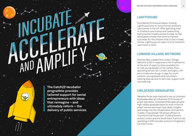9

#### **LIGHTHOUSE**

Founded by Emmanuel Akpan-Inwang, Lighthouse aims to revolutionise children's care homes in the UK. After spending time in children's care homes and researching best practice models across Europe, he has developed a model that aims to improve outcomes for the children that in live in these homes. Lighthouse will open its first children's care home in 2020.

#### **LONDON VILLAGE NETWORK**

Rachael Box created the London Village Network (LVN) in response to her frustrations at the lack of opportunities available for at-risk young people on her estate. Now operating across ten London boroughs, LVN aims to become the go-to app for youth workers, young people and volunteers seeking easy access to services, support and volunteering.

#### **UNLOCKED GRADUATES**

Natasha Porter was inspired to set up Unlocked Graduates after an influential 2016 review of prison education. Unlocked Graduates attracts high-calibre graduate talent to work in the UK prison service and inject new ideas, insights and energy into the rehabilitation of prisoners. To date, it has placed 150 prison officers in 14 prisons that house over 10,000 prisoners across London and the South East. It aims to be operating in 20% of public prisons in England in the near future.

**The Catch22 incubator programme provides tailored support for social entrepreneurs with ideas that reimagine – and ultimately reform – the delivery of public services.**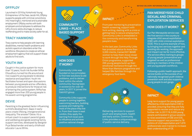#### **OFFPLOY**

Launched in 2016 by Yorkshire's Young Entrepreneur of the Year, Jacob Hill, Offploy supports people with criminal convictions into meaningful, mentored and sustainable employment. Offploy works with both employers and employees to address the UK's chronic skills shortage, to reduce reoffending and to make society safer for all.

#### **TRACY HAMMOND**

Tracy wants to help people with learning disabilities, mental health problems and autistic spectrum disorders enter the workforce. She plans to create an ethical employment agency that will support these adults to find work.

#### **YOUTH INK**

Caught in the justice system for more than 10 years, Youth Ink founder Mifta Choudhury turned his life around and now supports young people to develop resilience and aspiration. Youth Ink facilitates honest and open discussions between young people and ex-offenders, to produce interventions for those at risk of entering the justice system. Mifta has engaged more than 200 young people in his award-winning programme.

#### **DEVIE**

Parenting is the greatest factor influencing a child's development. Gaps in early years create lifelong, intergenerational inequality. The answer? Devie. It's a virtual coach to support parents' goals and wellbeing alongside existing family support services, developed by designer Puja Balachander and early childhood educator Laura White.

#### **COMMUNITY LINKS – PLACE BASED SUPPORT**



#### **HOW DOES IT WORK?**

Community Links was founded on two principles: to find new solutions to old problems, and to deliver them within the whole community. Having been in existence for over 40 years, in 2017 it joined the Catch22 group.

Community Links supports people in coming together, overcoming barriers, building purpose and making the most of the place they live in. From their base in east London, they apply the learning from local work to influence and achieve positive national change.

#### **IMPACT**

 $\left(\begin{matrix} 0 \\ 0 \end{matrix}\right)$ 

From peer mentoring to preventative health screening, support with form writing, dealing with a crisis or getting help to secure employment, Community Links is embedded in the community and transforming people's lives.

In the last year, Community Links has provided advice to more than 3,000 clients, trained 631 BAME women to help them move closer to work through the Help Through Crisis programme, supported 255 young people build up their emotional resilience through the More than Mentors programme and helped 384 families through the emergency food bank.



Delivering services to support youth and employment, health and early action, Community Links provides a unique ecology of public service delivery.

#### **PAN MERSEYSIDE CHILD SEXUAL AND CRIMINAL EXPLOITATION SERVICES**

#### **HOW DOES IT WORK?**

Our Pan Merseyside service was the first service in the country to integrate child sexual exploitation (CSE) with child criminal exploitation (CCE). This is a prime example of how, by bringing two services together and avoiding silo working, the approach and impact can be far more effective. The service offers training to groups of young people (preventative and targeted) as well as professional training to members of the children and young people's workforce.

Following a public health approach, the service builds on the success of our nationally recognised youth violence prevention work and also supports young people to exit gangs.

 $\circledR$ 

#### **IMPACT**

Long-term support for young people affected by child exploitation (CE) is provided, ensuring that they are fully supported to recover and reduce any further risk. In 2017/18, 8,555 young people participated in group sessions to raise awareness of CSE and CCE, intensive support was provided to 78 victims of child exploitation and 1,670 professionals were trained to increase their understanding of CE.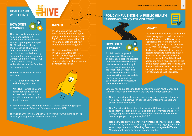#### **HEALTH AND WELLBEING**

#### **HOW DOES IT WORK?**

The Hive is a free emotional health and wellbeing co-designed service which supports young people aged 16-24 in Camden. It was the brainchild of a group of child psychologists and is now jointly commissioned by Camden Council and Camden Clinical Commissioning Group. It has become firmly embedded within the Camden service community.

The Hive provides three main services:

- 1-2-1 appointments with trained psychiatrists
- 'The Hub' which is a safe space for young people to meet and take part in activities and runs regular health clinics



#### **IMPACT**

In the last year, the Hive has been used by more than 5,500 young people and has provided 1-2-1 support to more than 300. 10 young people are actively conducting the walking tours.

The Hive saved £464,000 in the last year through its support of 6 young people who would otherwise have been accommodated within in-patient psychiatric facilities.



• social enterprise 'Walking London 22', which sees young people conduct tours of Camden for new students at UCL.

The Social Enterprise Manager also offers weekly workshops on job hunting, CV preparation and interview skills.

#### **POLICY INFLUENCING: A PUBLIC HEALTH APPROACH TO YOUTH VIOLENCE**

**HOW DOES IT WORK?**

A public health approach means placing the emphasis on prevention: tackling societal problems before they manifest themselves more seriously. It involves taking a population approach, not just focussing on high-risk individuals. It also means working across a variety of agencies, including with businesses and volunteers, to

get maximum impact.



#### **IMPACT**

it was taking a public health approach to youth violence - and the Violence Reduction Units (VRUs) announced work on that principle in the same year. In the 2019 political party manifestos, the Labour Party commits to a 'public health approach to substance misuse, focussing on harm reduction rather than criminalisation' and the Liberal Democrats have a whole section on the 'public health approach to violence'. With the approach now part of the political language, the key is to make it a standard way of delivering public services.

The Government announced in 2018 that



Catch22 has applied the model to its Wolverhampton Youth Gangs and Violence Reduction Service where we take a three tier approach.

- Tier 1 is working with schools and young people to divert those at risk away from negative influences using intensive support and educational approaches.
- Tier 2 provides interventions that work with those already active in gang lifestyles, providing 1-2-1 and group interventions that offer a range of positive alternatives and opportunities as part of our bespoke gang exit programme, R.O.A.D.
- Tier 3 services provide more tertiary interventions, working closely with statutory agencies supporting those heavily in gang lifestyles, known to police, Youth Offending Teams and Integrated Offender Management teams as an active gang member.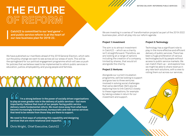**THE FUTURE OF REFORM**

**Catch22 is committed to our 'end game' – and public service reform is at the heart of our new business plan for 2019-22.**

We have published our manifesto ahead of the 2019 General Election, which sets out the policy change we want to see across all our areas of work. This will be the springboard for our political engagement programme which will see us push for policies that we believe need to be implemented to reform public services in education, justice, employability, and young people and families.

 **I'm a strong believer in the power of socially driven organisations to play an even greater role in the delivery of public services – but more importantly I believe that much of our people-facing public service delivery needs fundamental reform. We must move away from what have become increasingly transactional, bureaucratic and risk-averse services that tend to be remote from those they are there to support.** 

**We need to find ways of unlocking this capability and designing services that are more relational and impactful.**

Chris Wright, Chief Executive, Catch22

We are investing in a series of 'transformation projects' as part of the 2019-2022 business plan, which all play into our reform agenda:

#### **Project 1: Investment**

The aim is to attract investment in Catch22 – which as a charity isn't straightforward. Therefore, we are looking at a range of options including the creation of a company, limited by shares, that would sit alongside the charity.

#### **Project 2: Ventures**

Alongside our current incubation programme, we'll be looking to support and grow two to three ventures involved in solving social challenges that we've identified. We'll also be exploring how to link Catch22 closely to these organisations, for example by taking a stake in return for our investment and support.

#### **Project 3: Technology**

Technology has a significant role to play in the more effective and efficient delivery of public services. There has been a huge proliferation of various technologies built by people without access to public service markets. We can match them up – and explore how we might be able to share revenue in any new tech solutions, with a view to rolling them out across our services.



BEYOND DELIVERY: REFORMING PUBLIC SERVICES 15